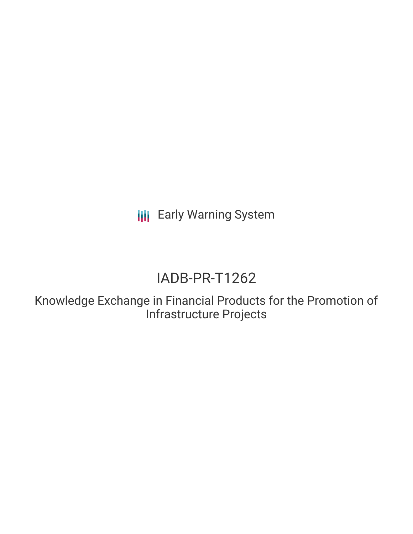**III** Early Warning System

# IADB-PR-T1262

Knowledge Exchange in Financial Products for the Promotion of Infrastructure Projects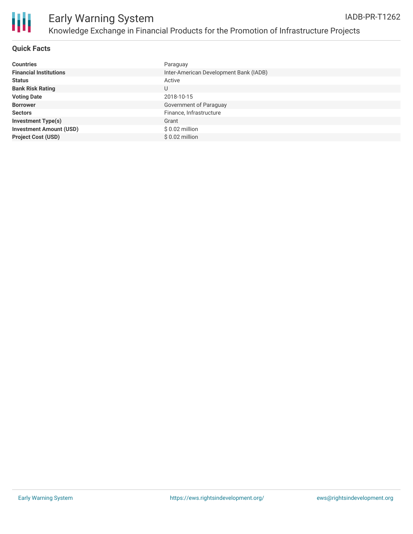

| <b>Countries</b>               | Paraguay                               |
|--------------------------------|----------------------------------------|
| <b>Financial Institutions</b>  | Inter-American Development Bank (IADB) |
| <b>Status</b>                  | Active                                 |
| <b>Bank Risk Rating</b>        | U                                      |
| <b>Voting Date</b>             | 2018-10-15                             |
| <b>Borrower</b>                | Government of Paraguay                 |
| <b>Sectors</b>                 | Finance, Infrastructure                |
| <b>Investment Type(s)</b>      | Grant                                  |
| <b>Investment Amount (USD)</b> | $$0.02$ million                        |
| <b>Project Cost (USD)</b>      | $$0.02$ million                        |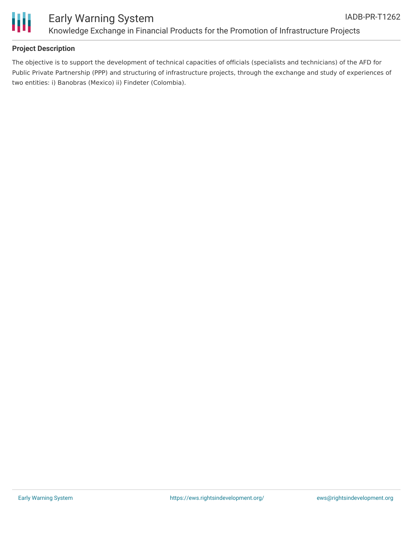



### **Project Description**

The objective is to support the development of technical capacities of officials (specialists and technicians) of the AFD for Public Private Partnership (PPP) and structuring of infrastructure projects, through the exchange and study of experiences of two entities: i) Banobras (Mexico) ii) Findeter (Colombia).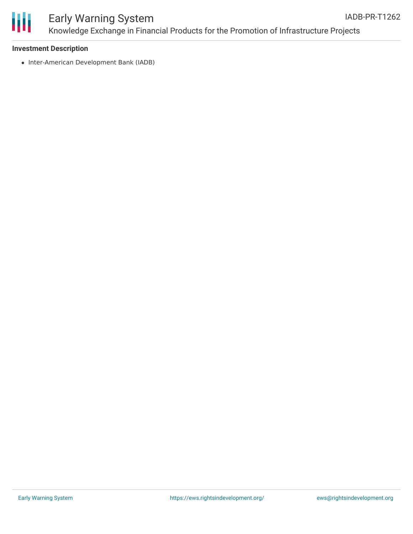

#### Early Warning System Knowledge Exchange in Financial Products for the Promotion of Infrastructure Projects IADB-PR-T1262

#### **Investment Description**

• Inter-American Development Bank (IADB)